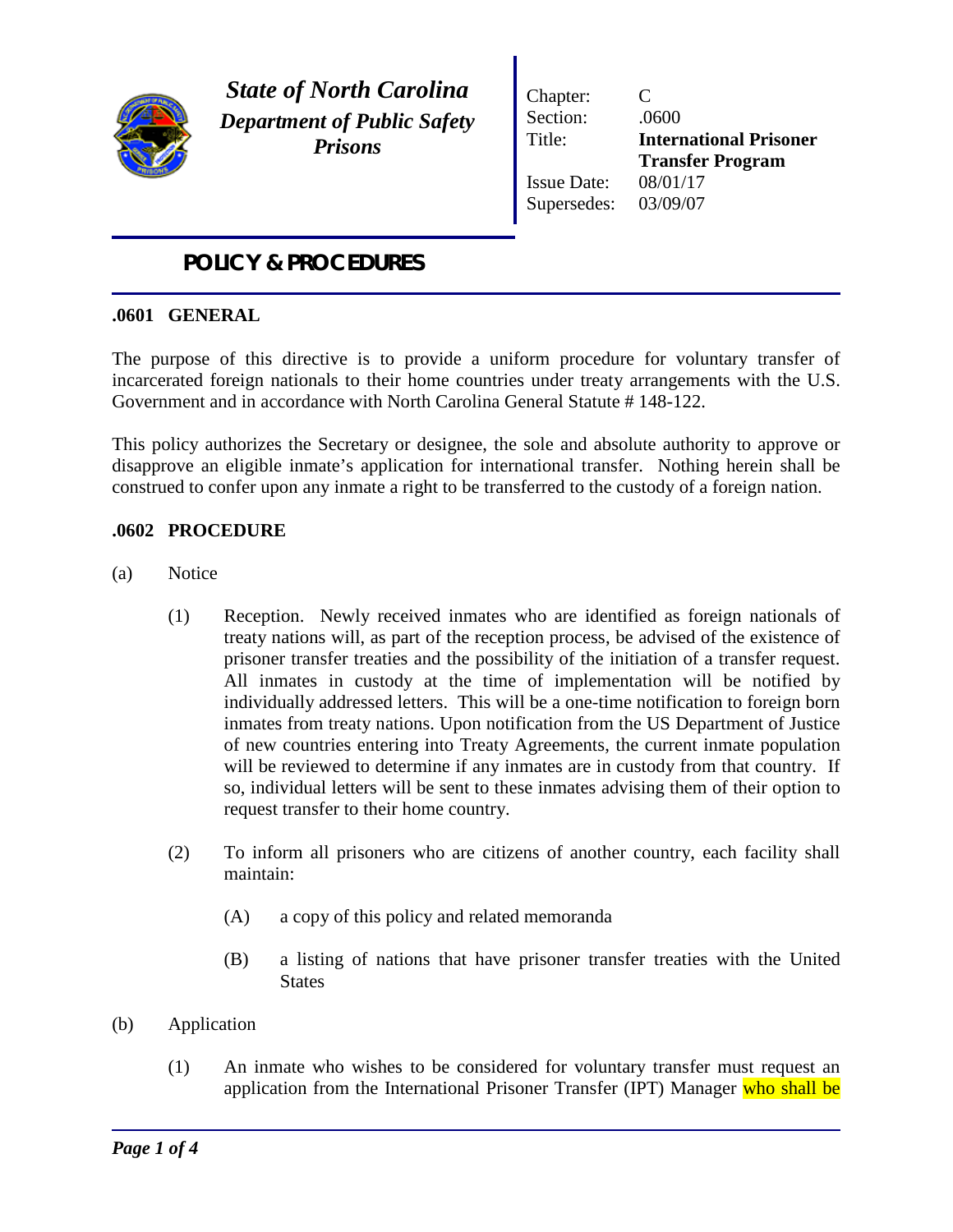

*State of North Carolina Department of Public Safety Prisons*

Chapter: C Section: .0600 Title: **International Prisoner Transfer Program** Issue Date: 08/01/17 Supersedes: 03/09/07

## *POLICY & PROCEDURES*

## **.0601 GENERAL**

The purpose of this directive is to provide a uniform procedure for voluntary transfer of incarcerated foreign nationals to their home countries under treaty arrangements with the U.S. Government and in accordance with North Carolina General Statute # 148-122.

This policy authorizes the Secretary or designee, the sole and absolute authority to approve or disapprove an eligible inmate's application for international transfer. Nothing herein shall be construed to confer upon any inmate a right to be transferred to the custody of a foreign nation.

## **.0602 PROCEDURE**

- (a) Notice
	- (1) Reception. Newly received inmates who are identified as foreign nationals of treaty nations will, as part of the reception process, be advised of the existence of prisoner transfer treaties and the possibility of the initiation of a transfer request. All inmates in custody at the time of implementation will be notified by individually addressed letters. This will be a one-time notification to foreign born inmates from treaty nations. Upon notification from the US Department of Justice of new countries entering into Treaty Agreements, the current inmate population will be reviewed to determine if any inmates are in custody from that country. If so, individual letters will be sent to these inmates advising them of their option to request transfer to their home country.
	- (2) To inform all prisoners who are citizens of another country, each facility shall maintain:
		- (A) a copy of this policy and related memoranda
		- (B) a listing of nations that have prisoner transfer treaties with the United **States**
- (b) Application
	- (1) An inmate who wishes to be considered for voluntary transfer must request an application from the International Prisoner Transfer (IPT) Manager who shall be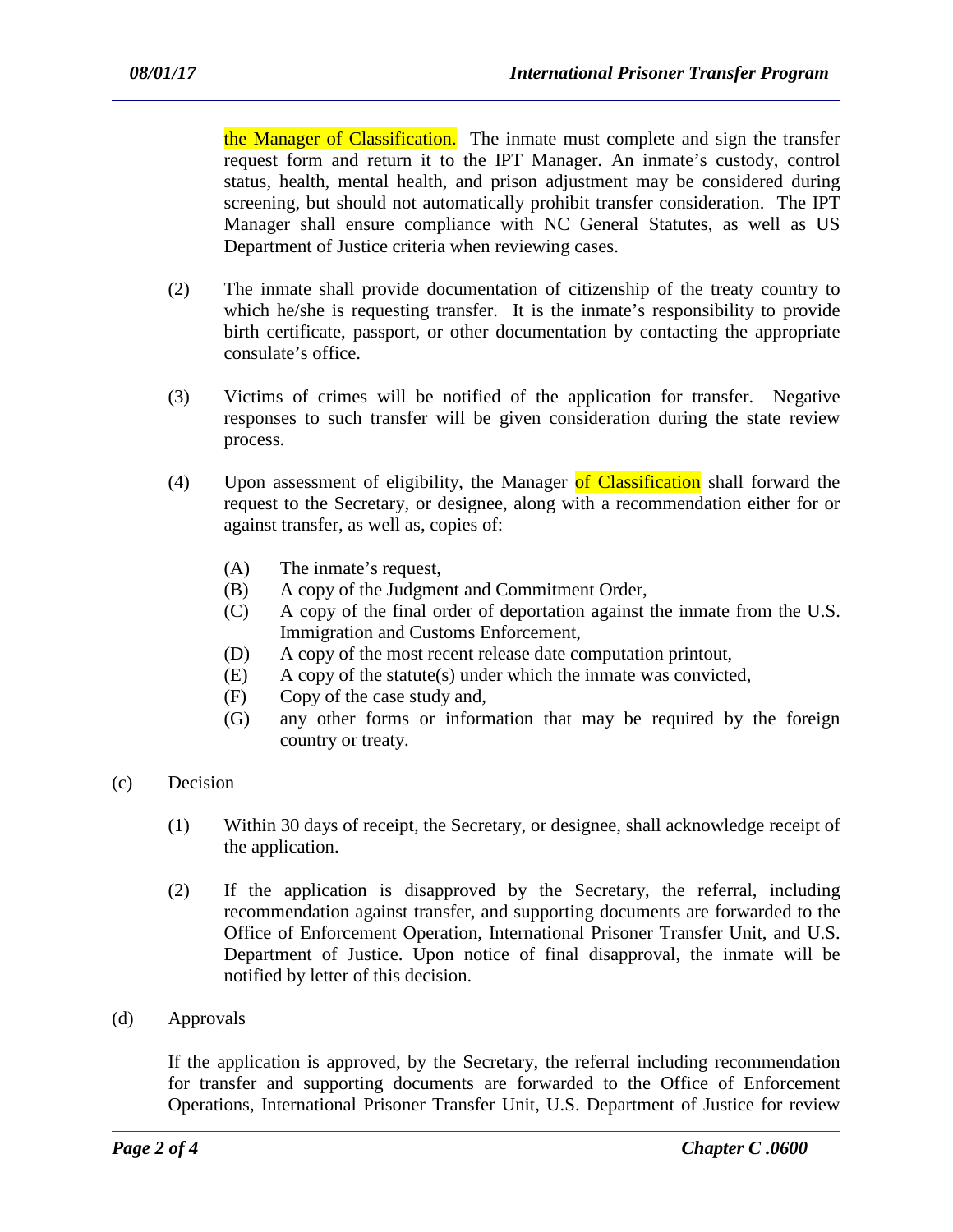the Manager of Classification. The inmate must complete and sign the transfer request form and return it to the IPT Manager. An inmate's custody, control status, health, mental health, and prison adjustment may be considered during screening, but should not automatically prohibit transfer consideration. The IPT Manager shall ensure compliance with NC General Statutes, as well as US Department of Justice criteria when reviewing cases.

- (2) The inmate shall provide documentation of citizenship of the treaty country to which he/she is requesting transfer. It is the inmate's responsibility to provide birth certificate, passport, or other documentation by contacting the appropriate consulate's office.
- (3) Victims of crimes will be notified of the application for transfer. Negative responses to such transfer will be given consideration during the state review process.
- (4) Upon assessment of eligibility, the Manager of Classification shall forward the request to the Secretary, or designee, along with a recommendation either for or against transfer, as well as, copies of:
	- (A) The inmate's request,
	- (B) A copy of the Judgment and Commitment Order,
	- (C) A copy of the final order of deportation against the inmate from the U.S. Immigration and Customs Enforcement,
	- (D) A copy of the most recent release date computation printout,
	- (E) A copy of the statute(s) under which the inmate was convicted,
	- (F) Copy of the case study and,
	- (G) any other forms or information that may be required by the foreign country or treaty.
- (c) Decision
	- (1) Within 30 days of receipt, the Secretary, or designee, shall acknowledge receipt of the application.
	- (2) If the application is disapproved by the Secretary, the referral, including recommendation against transfer, and supporting documents are forwarded to the Office of Enforcement Operation, International Prisoner Transfer Unit, and U.S. Department of Justice. Upon notice of final disapproval, the inmate will be notified by letter of this decision.
- (d) Approvals

If the application is approved, by the Secretary, the referral including recommendation for transfer and supporting documents are forwarded to the Office of Enforcement Operations, International Prisoner Transfer Unit, U.S. Department of Justice for review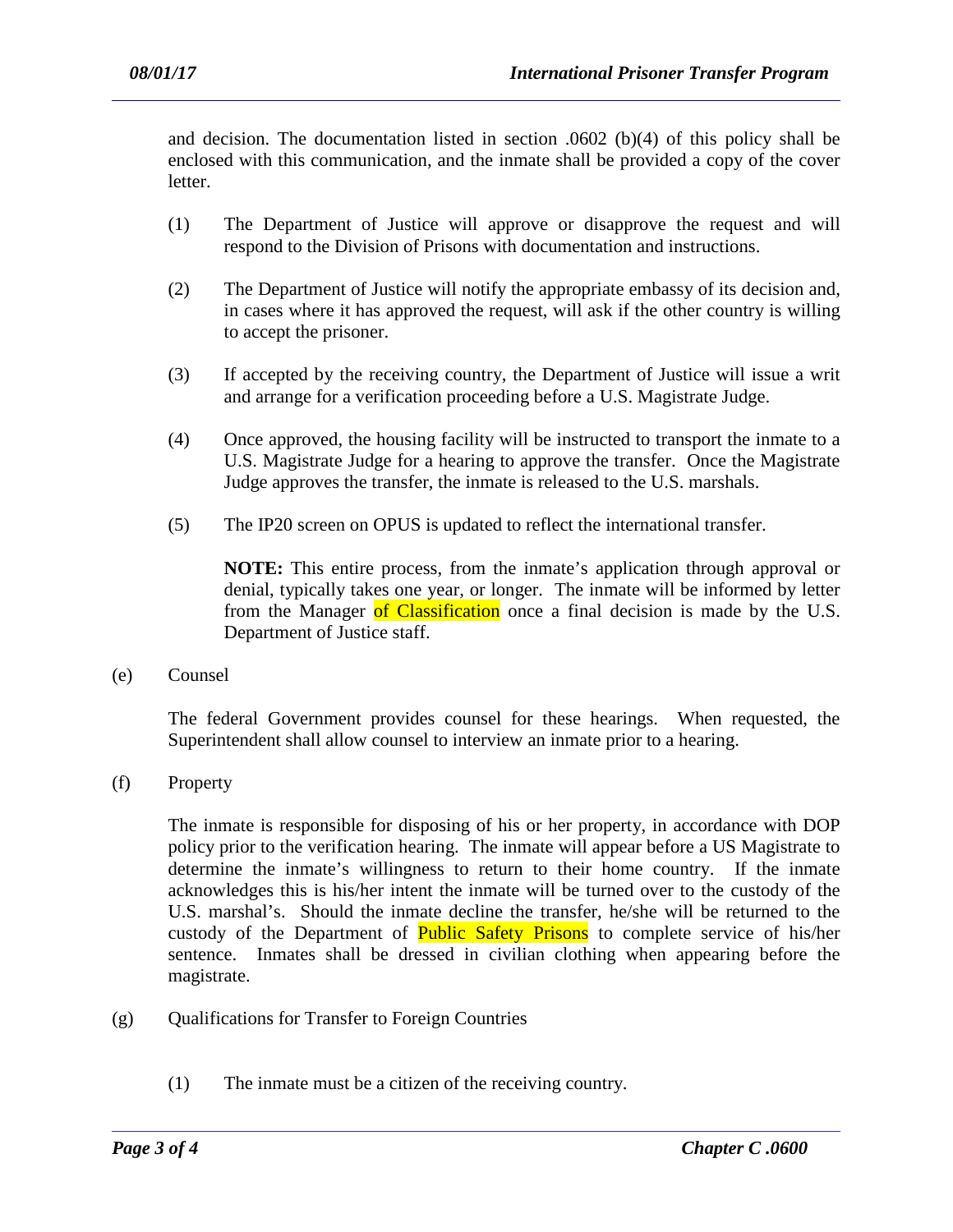and decision. The documentation listed in section .0602 (b)(4) of this policy shall be enclosed with this communication, and the inmate shall be provided a copy of the cover letter.

- (1) The Department of Justice will approve or disapprove the request and will respond to the Division of Prisons with documentation and instructions.
- (2) The Department of Justice will notify the appropriate embassy of its decision and, in cases where it has approved the request, will ask if the other country is willing to accept the prisoner.
- (3) If accepted by the receiving country, the Department of Justice will issue a writ and arrange for a verification proceeding before a U.S. Magistrate Judge.
- (4) Once approved, the housing facility will be instructed to transport the inmate to a U.S. Magistrate Judge for a hearing to approve the transfer. Once the Magistrate Judge approves the transfer, the inmate is released to the U.S. marshals.
- (5) The IP20 screen on OPUS is updated to reflect the international transfer.

**NOTE:** This entire process, from the inmate's application through approval or denial, typically takes one year, or longer. The inmate will be informed by letter from the Manager of Classification once a final decision is made by the U.S. Department of Justice staff.

(e) Counsel

The federal Government provides counsel for these hearings. When requested, the Superintendent shall allow counsel to interview an inmate prior to a hearing.

(f) Property

The inmate is responsible for disposing of his or her property, in accordance with DOP policy prior to the verification hearing. The inmate will appear before a US Magistrate to determine the inmate's willingness to return to their home country. If the inmate acknowledges this is his/her intent the inmate will be turned over to the custody of the U.S. marshal's. Should the inmate decline the transfer, he/she will be returned to the custody of the Department of **Public Safety Prisons** to complete service of his/her sentence. Inmates shall be dressed in civilian clothing when appearing before the magistrate.

- (g) Qualifications for Transfer to Foreign Countries
	- (1) The inmate must be a citizen of the receiving country.